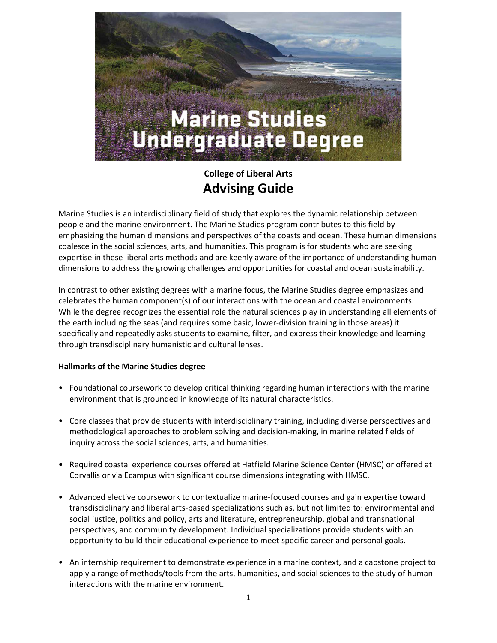

# **College of Liberal Arts Advising Guide**

Marine Studies is an interdisciplinary field of study that explores the dynamic relationship between people and the marine environment. The Marine Studies program contributes to this field by emphasizing the human dimensions and perspectives of the coasts and ocean. These human dimensions coalesce in the social sciences, arts, and humanities. This program is for students who are seeking expertise in these liberal arts methods and are keenly aware of the importance of understanding human dimensions to address the growing challenges and opportunities for coastal and ocean sustainability.

In contrast to other existing degrees with a marine focus, the Marine Studies degree emphasizes and celebrates the human component(s) of our interactions with the ocean and coastal environments. While the degree recognizes the essential role the natural sciences play in understanding all elements of the earth including the seas (and requires some basic, lower-division training in those areas) it specifically and repeatedly asks students to examine, filter, and express their knowledge and learning through transdisciplinary humanistic and cultural lenses.

#### **Hallmarks of the Marine Studies degree**

- Foundational coursework to develop critical thinking regarding human interactions with the marine environment that is grounded in knowledge of its natural characteristics.
- Core classes that provide students with interdisciplinary training, including diverse perspectives and methodological approaches to problem solving and decision-making, in marine related fields of inquiry across the social sciences, arts, and humanities.
- Required coastal experience courses offered at Hatfield Marine Science Center (HMSC) or offered at Corvallis or via Ecampus with significant course dimensions integrating with HMSC.
- Advanced elective coursework to contextualize marine-focused courses and gain expertise toward transdisciplinary and liberal arts-based specializations such as, but not limited to: environmental and social justice, politics and policy, arts and literature, entrepreneurship, global and transnational perspectives, and community development. Individual specializations provide students with an opportunity to build their educational experience to meet specific career and personal goals.
- An internship requirement to demonstrate experience in a marine context, and a capstone project to apply a range of methods/tools from the arts, humanities, and social sciences to the study of human interactions with the marine environment.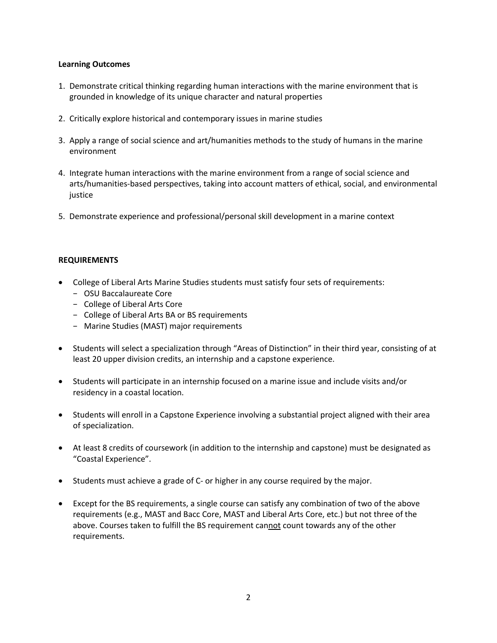#### **Learning Outcomes**

- 1. Demonstrate critical thinking regarding human interactions with the marine environment that is grounded in knowledge of its unique character and natural properties
- 2. Critically explore historical and contemporary issues in marine studies
- 3. Apply a range of social science and art/humanities methods to the study of humans in the marine environment
- 4. Integrate human interactions with the marine environment from a range of social science and arts/humanities-based perspectives, taking into account matters of ethical, social, and environmental justice
- 5. Demonstrate experience and professional/personal skill development in a marine context

#### **REQUIREMENTS**

- College of Liberal Arts Marine Studies students must satisfy four sets of requirements:
	- − OSU Baccalaureate Core
	- − College of Liberal Arts Core
	- − College of Liberal Arts BA or BS requirements
	- − Marine Studies (MAST) major requirements
- Students will select a specialization through "Areas of Distinction" in their third year, consisting of at least 20 upper division credits, an internship and a capstone experience.
- Students will participate in an internship focused on a marine issue and include visits and/or residency in a coastal location.
- Students will enroll in a Capstone Experience involving a substantial project aligned with their area of specialization.
- At least 8 credits of coursework (in addition to the internship and capstone) must be designated as "Coastal Experience".
- Students must achieve a grade of C- or higher in any course required by the major.
- Except for the BS requirements, a single course can satisfy any combination of two of the above requirements (e.g., MAST and Bacc Core, MAST and Liberal Arts Core, etc.) but not three of the above. Courses taken to fulfill the BS requirement cannot count towards any of the other requirements.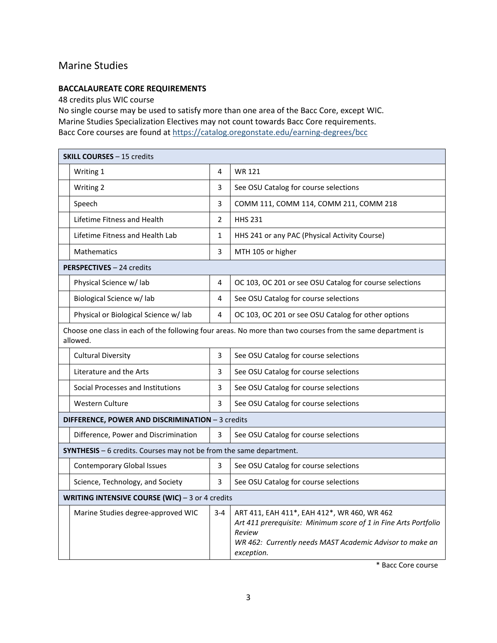# Marine Studies

#### **BACCALAUREATE CORE REQUIREMENTS**

48 credits plus WIC course

No single course may be used to satisfy more than one area of the Bacc Core, except WIC. Marine Studies Specialization Electives may not count towards Bacc Core requirements. Bacc Core courses are found a[t https://catalog.oregonstate.edu/earning-degrees/bcc](https://catalog.oregonstate.edu/earning-degrees/bcc/#text)

| <b>SKILL COURSES - 15 credits</b>                                           |                |                                                                                                                                                                                                    |  |  |  |
|-----------------------------------------------------------------------------|----------------|----------------------------------------------------------------------------------------------------------------------------------------------------------------------------------------------------|--|--|--|
| Writing 1                                                                   | 4              | <b>WR 121</b>                                                                                                                                                                                      |  |  |  |
| Writing 2                                                                   | 3              | See OSU Catalog for course selections                                                                                                                                                              |  |  |  |
| Speech                                                                      | 3              | COMM 111, COMM 114, COMM 211, COMM 218                                                                                                                                                             |  |  |  |
| Lifetime Fitness and Health                                                 | $\overline{2}$ | <b>HHS 231</b>                                                                                                                                                                                     |  |  |  |
| Lifetime Fitness and Health Lab                                             | $\mathbf{1}$   | HHS 241 or any PAC (Physical Activity Course)                                                                                                                                                      |  |  |  |
| <b>Mathematics</b>                                                          | 3              | MTH 105 or higher                                                                                                                                                                                  |  |  |  |
| PERSPECTIVES - 24 credits                                                   |                |                                                                                                                                                                                                    |  |  |  |
| Physical Science w/ lab                                                     | 4              | OC 103, OC 201 or see OSU Catalog for course selections                                                                                                                                            |  |  |  |
| Biological Science w/ lab                                                   | 4              | See OSU Catalog for course selections                                                                                                                                                              |  |  |  |
| Physical or Biological Science w/ lab                                       | 4              | OC 103, OC 201 or see OSU Catalog for other options                                                                                                                                                |  |  |  |
| allowed.                                                                    |                | Choose one class in each of the following four areas. No more than two courses from the same department is                                                                                         |  |  |  |
| <b>Cultural Diversity</b>                                                   | 3              | See OSU Catalog for course selections                                                                                                                                                              |  |  |  |
| Literature and the Arts                                                     | 3              | See OSU Catalog for course selections                                                                                                                                                              |  |  |  |
| Social Processes and Institutions                                           | 3              | See OSU Catalog for course selections                                                                                                                                                              |  |  |  |
| <b>Western Culture</b>                                                      | 3              | See OSU Catalog for course selections                                                                                                                                                              |  |  |  |
| DIFFERENCE, POWER AND DISCRIMINATION - 3 credits                            |                |                                                                                                                                                                                                    |  |  |  |
| Difference, Power and Discrimination                                        | 3              | See OSU Catalog for course selections                                                                                                                                                              |  |  |  |
| <b>SYNTHESIS</b> $-6$ credits. Courses may not be from the same department. |                |                                                                                                                                                                                                    |  |  |  |
| <b>Contemporary Global Issues</b>                                           | 3              | See OSU Catalog for course selections                                                                                                                                                              |  |  |  |
| Science, Technology, and Society                                            | 3              | See OSU Catalog for course selections                                                                                                                                                              |  |  |  |
| WRITING INTENSIVE COURSE (WIC) - 3 or 4 credits                             |                |                                                                                                                                                                                                    |  |  |  |
| Marine Studies degree-approved WIC                                          | $3 - 4$        | ART 411, EAH 411*, EAH 412*, WR 460, WR 462<br>Art 411 prerequisite: Minimum score of 1 in Fine Arts Portfolio<br>Review<br>WR 462: Currently needs MAST Academic Advisor to make an<br>exception. |  |  |  |

\* Bacc Core course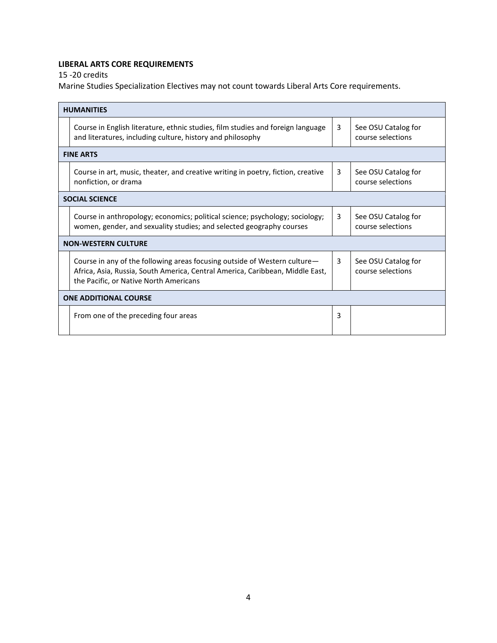# **LIBERAL ARTS CORE REQUIREMENTS**

15 -20 credits

Marine Studies Specialization Electives may not count towards Liberal Arts Core requirements.

|                              | <b>HUMANITIES</b>                                                                                                                                                                                    |   |                                          |  |  |  |
|------------------------------|------------------------------------------------------------------------------------------------------------------------------------------------------------------------------------------------------|---|------------------------------------------|--|--|--|
|                              | Course in English literature, ethnic studies, film studies and foreign language<br>and literatures, including culture, history and philosophy                                                        | 3 | See OSU Catalog for<br>course selections |  |  |  |
|                              | <b>FINE ARTS</b>                                                                                                                                                                                     |   |                                          |  |  |  |
|                              | Course in art, music, theater, and creative writing in poetry, fiction, creative<br>nonfiction, or drama                                                                                             | 3 | See OSU Catalog for<br>course selections |  |  |  |
|                              | <b>SOCIAL SCIENCE</b>                                                                                                                                                                                |   |                                          |  |  |  |
|                              | Course in anthropology; economics; political science; psychology; sociology;<br>women, gender, and sexuality studies; and selected geography courses                                                 | 3 | See OSU Catalog for<br>course selections |  |  |  |
|                              | <b>NON-WESTERN CULTURE</b>                                                                                                                                                                           |   |                                          |  |  |  |
|                              | Course in any of the following areas focusing outside of Western culture-<br>Africa, Asia, Russia, South America, Central America, Caribbean, Middle East,<br>the Pacific, or Native North Americans | 3 | See OSU Catalog for<br>course selections |  |  |  |
| <b>ONE ADDITIONAL COURSE</b> |                                                                                                                                                                                                      |   |                                          |  |  |  |
|                              | From one of the preceding four areas                                                                                                                                                                 | 3 |                                          |  |  |  |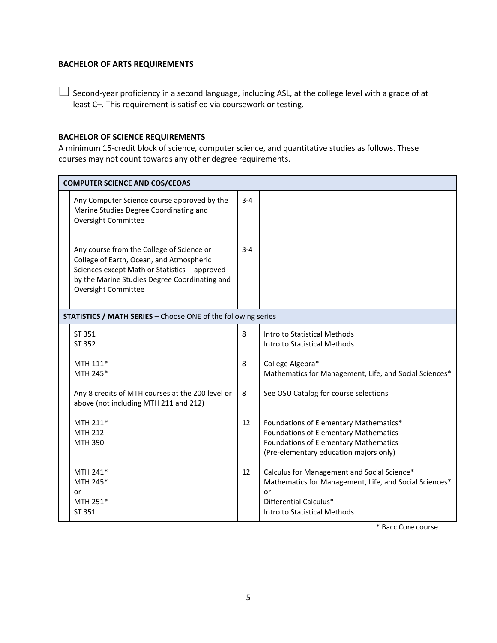#### **BACHELOR OF ARTS REQUIREMENTS**

 $\Box$  Second-year proficiency in a second language, including ASL, at the college level with a grade of at least C–. This requirement is satisfied via coursework or testing.

#### **BACHELOR OF SCIENCE REQUIREMENTS**

A minimum 15-credit block of science, computer science, and quantitative studies as follows. These courses may not count towards any other degree requirements.

| <b>COMPUTER SCIENCE AND COS/CEOAS</b>                                                                                                                                                                           |         |                                                                                                                                                                                  |  |  |  |  |  |
|-----------------------------------------------------------------------------------------------------------------------------------------------------------------------------------------------------------------|---------|----------------------------------------------------------------------------------------------------------------------------------------------------------------------------------|--|--|--|--|--|
| Any Computer Science course approved by the<br>Marine Studies Degree Coordinating and<br><b>Oversight Committee</b>                                                                                             | $3 - 4$ |                                                                                                                                                                                  |  |  |  |  |  |
| Any course from the College of Science or<br>College of Earth, Ocean, and Atmospheric<br>Sciences except Math or Statistics -- approved<br>by the Marine Studies Degree Coordinating and<br>Oversight Committee | $3 - 4$ |                                                                                                                                                                                  |  |  |  |  |  |
| STATISTICS / MATH SERIES - Choose ONE of the following series                                                                                                                                                   |         |                                                                                                                                                                                  |  |  |  |  |  |
| ST 351<br>ST 352                                                                                                                                                                                                | 8       | Intro to Statistical Methods<br>Intro to Statistical Methods                                                                                                                     |  |  |  |  |  |
| MTH 111*<br>MTH 245*                                                                                                                                                                                            | 8       | College Algebra*<br>Mathematics for Management, Life, and Social Sciences*                                                                                                       |  |  |  |  |  |
| Any 8 credits of MTH courses at the 200 level or<br>above (not including MTH 211 and 212)                                                                                                                       | 8       | See OSU Catalog for course selections                                                                                                                                            |  |  |  |  |  |
| MTH 211*<br><b>MTH 212</b><br>MTH 390                                                                                                                                                                           | 12      | Foundations of Elementary Mathematics*<br><b>Foundations of Elementary Mathematics</b><br><b>Foundations of Elementary Mathematics</b><br>(Pre-elementary education majors only) |  |  |  |  |  |
| MTH 241*<br>MTH 245*<br>or<br>MTH 251*<br>ST 351                                                                                                                                                                | 12      | Calculus for Management and Social Science*<br>Mathematics for Management, Life, and Social Sciences*<br>or<br>Differential Calculus*<br>Intro to Statistical Methods            |  |  |  |  |  |

\* Bacc Core course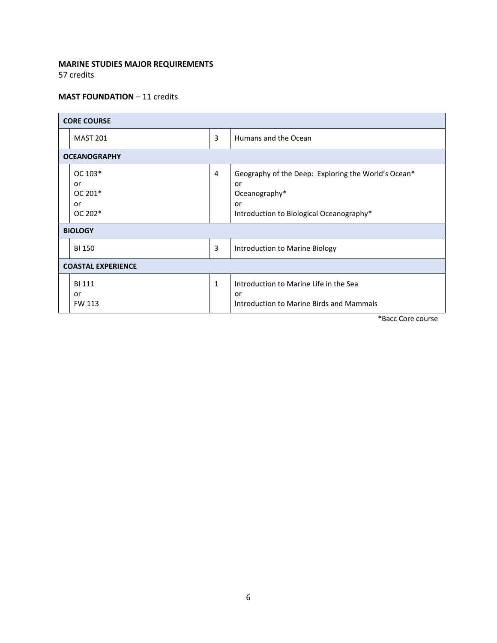### **MARINE STUDIES MAJOR REQUIREMENTS**

57 credits

#### **MAST FOUNDATION** – 11 credits

| <b>CORE COURSE</b>                                          |              |                                                                                                                              |  |  |  |  |
|-------------------------------------------------------------|--------------|------------------------------------------------------------------------------------------------------------------------------|--|--|--|--|
| <b>MAST 201</b>                                             | 3            | Humans and the Ocean                                                                                                         |  |  |  |  |
| <b>OCEANOGRAPHY</b>                                         |              |                                                                                                                              |  |  |  |  |
| OC 103*<br>or<br>OC 201*<br>or<br>OC 202*<br><b>BIOLOGY</b> | 4            | Geography of the Deep: Exploring the World's Ocean*<br>or<br>Oceanography*<br>or<br>Introduction to Biological Oceanography* |  |  |  |  |
| 3<br><b>BI 150</b>                                          |              | Introduction to Marine Biology                                                                                               |  |  |  |  |
| <b>COASTAL EXPERIENCE</b>                                   |              |                                                                                                                              |  |  |  |  |
| <b>BI 111</b><br>or<br>FW 113                               | $\mathbf{1}$ | Introduction to Marine Life in the Sea<br>or<br>Introduction to Marine Birds and Mammals                                     |  |  |  |  |

\*Bacc Core course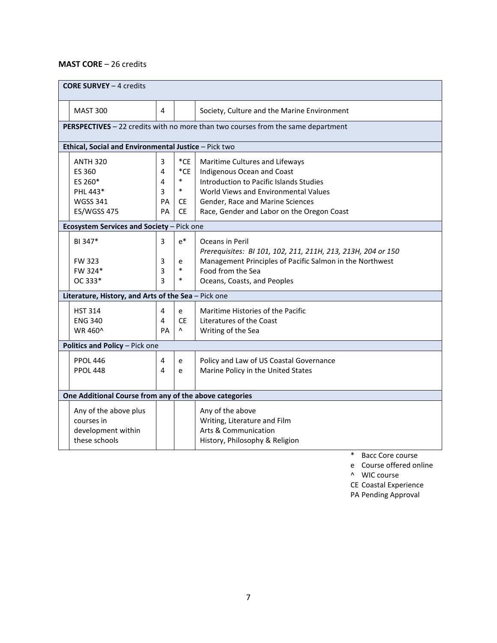### **MAST CORE** – 26 credits

| <b>CORE SURVEY - 4 credits</b>                         |    |              |                                                                                  |  |  |  |  |
|--------------------------------------------------------|----|--------------|----------------------------------------------------------------------------------|--|--|--|--|
| <b>MAST 300</b>                                        | 4  |              | Society, Culture and the Marine Environment                                      |  |  |  |  |
|                                                        |    |              | PERSPECTIVES - 22 credits with no more than two courses from the same department |  |  |  |  |
| Ethical, Social and Environmental Justice - Pick two   |    |              |                                                                                  |  |  |  |  |
| <b>ANTH 320</b>                                        | 3  | $^{\ast}$ CE | Maritime Cultures and Lifeways                                                   |  |  |  |  |
| ES 360                                                 | 4  | $^{\ast}$ CE | Indigenous Ocean and Coast                                                       |  |  |  |  |
| ES 260*                                                | 4  | $\ast$       | Introduction to Pacific Islands Studies                                          |  |  |  |  |
| PHL 443*                                               | 3  | $\ast$       | World Views and Environmental Values                                             |  |  |  |  |
| <b>WGSS 341</b>                                        | PA | CE.          | Gender, Race and Marine Sciences                                                 |  |  |  |  |
| ES/WGSS 475                                            | PA | <b>CE</b>    | Race, Gender and Labor on the Oregon Coast                                       |  |  |  |  |
| Ecosystem Services and Society - Pick one              |    |              |                                                                                  |  |  |  |  |
| BI 347*                                                | 3  | $e^*$        | Oceans in Peril<br>Prerequisites: BI 101, 102, 211, 211H, 213, 213H, 204 or 150  |  |  |  |  |
| <b>FW 323</b>                                          | 3  | e            | Management Principles of Pacific Salmon in the Northwest                         |  |  |  |  |
| FW 324*                                                | 3  | $\ast$       | Food from the Sea                                                                |  |  |  |  |
| OC 333*                                                | 3  | $\ast$       | Oceans, Coasts, and Peoples                                                      |  |  |  |  |
| Literature, History, and Arts of the Sea - Pick one    |    |              |                                                                                  |  |  |  |  |
| <b>HST 314</b>                                         | 4  | e            | Maritime Histories of the Pacific                                                |  |  |  |  |
| <b>ENG 340</b>                                         | 4  | <b>CE</b>    | Literatures of the Coast                                                         |  |  |  |  |
| WR 460^                                                | PA | Λ            | Writing of the Sea                                                               |  |  |  |  |
| Politics and Policy - Pick one                         |    |              |                                                                                  |  |  |  |  |
| <b>PPOL 446</b>                                        | 4  | e            | Policy and Law of US Coastal Governance                                          |  |  |  |  |
| <b>PPOL 448</b>                                        | 4  | e            | Marine Policy in the United States                                               |  |  |  |  |
|                                                        |    |              |                                                                                  |  |  |  |  |
| One Additional Course from any of the above categories |    |              |                                                                                  |  |  |  |  |
| Any of the above plus                                  |    |              | Any of the above                                                                 |  |  |  |  |
| courses in                                             |    |              | Writing, Literature and Film                                                     |  |  |  |  |
| development within                                     |    |              | Arts & Communication                                                             |  |  |  |  |
| these schools                                          |    |              | History, Philosophy & Religion                                                   |  |  |  |  |
|                                                        |    |              |                                                                                  |  |  |  |  |

\* Bacc Core course

e Course offered online

^ WIC course

CE Coastal Experience

PA Pending Approval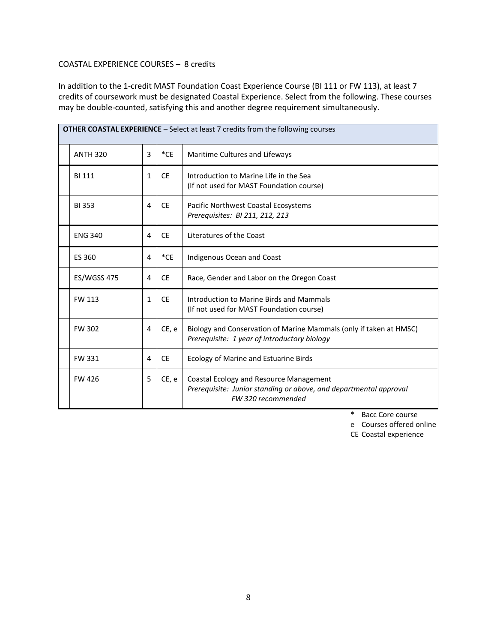#### COASTAL EXPERIENCE COURSES – 8 credits

In addition to the 1-credit MAST Foundation Coast Experience Course (BI 111 or FW 113), at least 7 credits of coursework must be designated Coastal Experience. Select from the following. These courses may be double-counted, satisfying this and another degree requirement simultaneously.

| <b>OTHER COASTAL EXPERIENCE</b> - Select at least 7 credits from the following courses |              |           |                                                                                                                                    |  |  |  |  |
|----------------------------------------------------------------------------------------|--------------|-----------|------------------------------------------------------------------------------------------------------------------------------------|--|--|--|--|
| <b>ANTH 320</b>                                                                        | 3            | $^*$ CE   | Maritime Cultures and Lifeways                                                                                                     |  |  |  |  |
| <b>BI 111</b>                                                                          | $\mathbf{1}$ | <b>CE</b> | Introduction to Marine Life in the Sea<br>(If not used for MAST Foundation course)                                                 |  |  |  |  |
| <b>BI353</b>                                                                           | 4            | <b>CE</b> | Pacific Northwest Coastal Ecosystems<br>Prerequisites: BI 211, 212, 213                                                            |  |  |  |  |
| <b>ENG 340</b>                                                                         | 4            | <b>CE</b> | Literatures of the Coast                                                                                                           |  |  |  |  |
| ES 360                                                                                 | 4            | $^*$ CE   | Indigenous Ocean and Coast                                                                                                         |  |  |  |  |
| <b>ES/WGSS 475</b>                                                                     | 4            | <b>CE</b> | Race, Gender and Labor on the Oregon Coast                                                                                         |  |  |  |  |
| FW 113                                                                                 | 1            | <b>CE</b> | Introduction to Marine Birds and Mammals<br>(If not used for MAST Foundation course)                                               |  |  |  |  |
| <b>FW 302</b>                                                                          | 4            | CE, e     | Biology and Conservation of Marine Mammals (only if taken at HMSC)<br>Prerequisite: 1 year of introductory biology                 |  |  |  |  |
| FW 331                                                                                 | 4            | <b>CE</b> | Ecology of Marine and Estuarine Birds                                                                                              |  |  |  |  |
| <b>FW 426</b>                                                                          | 5            | CE, e     | Coastal Ecology and Resource Management<br>Prerequisite: Junior standing or above, and departmental approval<br>FW 320 recommended |  |  |  |  |

\* Bacc Core course

e Courses offered online

CE Coastal experience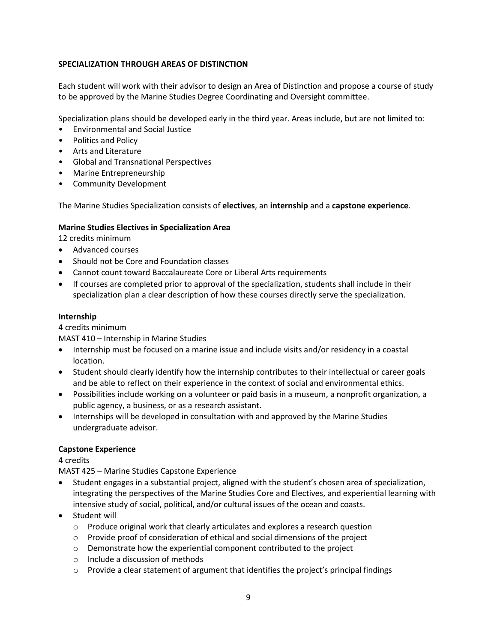### **SPECIALIZATION THROUGH AREAS OF DISTINCTION**

Each student will work with their advisor to design an Area of Distinction and propose a course of study to be approved by the Marine Studies Degree Coordinating and Oversight committee.

Specialization plans should be developed early in the third year. Areas include, but are not limited to:

- Environmental and Social Justice
- Politics and Policy
- Arts and Literature
- Global and Transnational Perspectives
- Marine Entrepreneurship
- Community Development

The Marine Studies Specialization consists of **electives**, an **internship** and a **capstone experience**.

#### **Marine Studies Electives in Specialization Area**

12 credits minimum

- Advanced courses
- Should not be Core and Foundation classes
- Cannot count toward Baccalaureate Core or Liberal Arts requirements
- If courses are completed prior to approval of the specialization, students shall include in their specialization plan a clear description of how these courses directly serve the specialization.

#### **Internship**

#### 4 credits minimum

MAST 410 – Internship in Marine Studies

- Internship must be focused on a marine issue and include visits and/or residency in a coastal location.
- Student should clearly identify how the internship contributes to their intellectual or career goals and be able to reflect on their experience in the context of social and environmental ethics.
- Possibilities include working on a volunteer or paid basis in a museum, a nonprofit organization, a public agency, a business, or as a research assistant.
- Internships will be developed in consultation with and approved by the Marine Studies undergraduate advisor.

#### **Capstone Experience**

4 credits

MAST 425 – Marine Studies Capstone Experience

- Student engages in a substantial project, aligned with the student's chosen area of specialization, integrating the perspectives of the Marine Studies Core and Electives, and experiential learning with intensive study of social, political, and/or cultural issues of the ocean and coasts.
- Student will
	- o Produce original work that clearly articulates and explores a research question
	- $\circ$  Provide proof of consideration of ethical and social dimensions of the project
	- o Demonstrate how the experiential component contributed to the project
	- o Include a discussion of methods
	- $\circ$  Provide a clear statement of argument that identifies the project's principal findings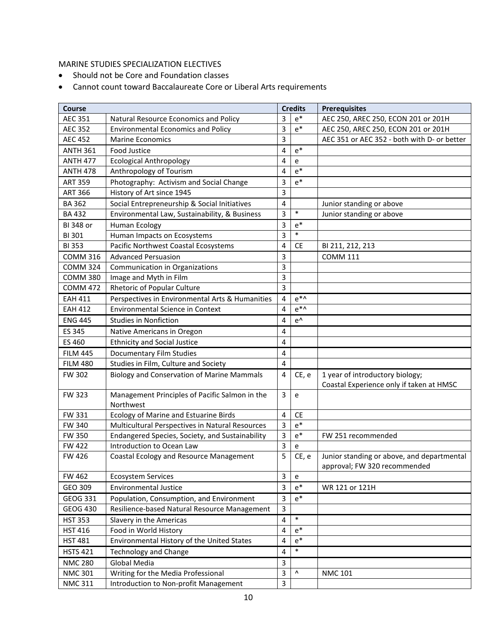### MARINE STUDIES SPECIALIZATION ELECTIVES

- Should not be Core and Foundation classes
- Cannot count toward Baccalaureate Core or Liberal Arts requirements

| <b>Course</b>    |                                                   |                         | <b>Credits</b>                    | <b>Prerequisites</b>                                                       |
|------------------|---------------------------------------------------|-------------------------|-----------------------------------|----------------------------------------------------------------------------|
| <b>AEC 351</b>   | Natural Resource Economics and Policy             | 3                       | $e^*$                             | AEC 250, AREC 250, ECON 201 or 201H                                        |
| <b>AEC 352</b>   | <b>Environmental Economics and Policy</b>         | 3                       | $e^*$                             | AEC 250, AREC 250, ECON 201 or 201H                                        |
| <b>AEC 452</b>   | <b>Marine Economics</b>                           | 3                       |                                   | AEC 351 or AEC 352 - both with D- or better                                |
| <b>ANTH 361</b>  | <b>Food Justice</b>                               | 4                       | $e^*$                             |                                                                            |
| <b>ANTH 477</b>  | <b>Ecological Anthropology</b>                    | 4                       | $\mathsf{e}% _{t}\left( t\right)$ |                                                                            |
| <b>ANTH 478</b>  | Anthropology of Tourism                           | 4                       | $e^*$                             |                                                                            |
| <b>ART 359</b>   | Photography: Activism and Social Change           | 3                       | $e^*$                             |                                                                            |
| <b>ART 366</b>   | History of Art since 1945                         | 3                       |                                   |                                                                            |
| <b>BA 362</b>    | Social Entrepreneurship & Social Initiatives      | $\pmb{4}$               |                                   | Junior standing or above                                                   |
| <b>BA432</b>     | Environmental Law, Sustainability, & Business     | 3                       | $\ast$                            | Junior standing or above                                                   |
| <b>BI 348 or</b> | <b>Human Ecology</b>                              | 3                       | $e^*$                             |                                                                            |
| BI 301           | Human Impacts on Ecosystems                       | 3                       | $\ast$                            |                                                                            |
| <b>BI353</b>     | Pacific Northwest Coastal Ecosystems              | 4                       | <b>CE</b>                         | BI 211, 212, 213                                                           |
| <b>COMM 316</b>  | <b>Advanced Persuasion</b>                        | 3                       |                                   | <b>COMM 111</b>                                                            |
| <b>COMM 324</b>  | Communication in Organizations                    | 3                       |                                   |                                                                            |
| <b>COMM 380</b>  | Image and Myth in Film                            | 3                       |                                   |                                                                            |
| <b>COMM 472</b>  | Rhetoric of Popular Culture                       | 3                       |                                   |                                                                            |
| <b>EAH 411</b>   | Perspectives in Environmental Arts & Humanities   | 4                       | $e^{*\Lambda}$                    |                                                                            |
| <b>EAH 412</b>   | <b>Environmental Science in Context</b>           | 4                       | $e^{*\Lambda}$                    |                                                                            |
| <b>ENG 445</b>   | <b>Studies in Nonfiction</b>                      | 4                       | $e^{\Lambda}$                     |                                                                            |
| ES 345           | Native Americans in Oregon                        | 4                       |                                   |                                                                            |
| ES 460           | <b>Ethnicity and Social Justice</b>               | 4                       |                                   |                                                                            |
| <b>FILM 445</b>  | <b>Documentary Film Studies</b>                   | $\overline{4}$          |                                   |                                                                            |
| <b>FILM 480</b>  | Studies in Film, Culture and Society              | $\overline{\mathbf{4}}$ |                                   |                                                                            |
| FW 302           | <b>Biology and Conservation of Marine Mammals</b> | 4                       | CE, e                             | 1 year of introductory biology;                                            |
|                  |                                                   |                         |                                   | Coastal Experience only if taken at HMSC                                   |
| <b>FW 323</b>    | Management Principles of Pacific Salmon in the    | $\overline{3}$          | e                                 |                                                                            |
|                  | Northwest                                         |                         |                                   |                                                                            |
| FW 331           | Ecology of Marine and Estuarine Birds             | $\overline{4}$          | <b>CE</b>                         |                                                                            |
| FW 340           | Multicultural Perspectives in Natural Resources   | $\mathsf{3}$            | $e^*$                             |                                                                            |
| <b>FW 350</b>    | Endangered Species, Society, and Sustainability   | 3                       | $e^*$                             | FW 251 recommended                                                         |
| <b>FW 422</b>    | Introduction to Ocean Law                         | $\overline{3}$          | $\mathsf{e}$                      |                                                                            |
| <b>FW 426</b>    | Coastal Ecology and Resource Management           | 5                       | CE, e                             | Junior standing or above, and departmental<br>approval; FW 320 recommended |
| FW 462           | <b>Ecosystem Services</b>                         | $\mathsf 3$             | e                                 |                                                                            |
| GEO 309          | <b>Environmental Justice</b>                      | 3                       | $e^*$                             | WR 121 or 121H                                                             |
| GEOG 331         | Population, Consumption, and Environment          | 3                       | $e^*$                             |                                                                            |
| <b>GEOG 430</b>  | Resilience-based Natural Resource Management      | $\mathsf{3}$            |                                   |                                                                            |
| <b>HST 353</b>   | Slavery in the Americas                           | 4                       | $\ast$                            |                                                                            |
| <b>HST 416</b>   | Food in World History                             | 4                       | $e^*$                             |                                                                            |
| <b>HST 481</b>   | Environmental History of the United States        | 4                       | $e^*$                             |                                                                            |
| <b>HSTS 421</b>  | <b>Technology and Change</b>                      | 4                       | $\ast$                            |                                                                            |
| <b>NMC 280</b>   | Global Media                                      | 3                       |                                   |                                                                            |
| <b>NMC 301</b>   | Writing for the Media Professional                | 3                       | ۸                                 | <b>NMC 101</b>                                                             |
| <b>NMC 311</b>   | Introduction to Non-profit Management             | 3                       |                                   |                                                                            |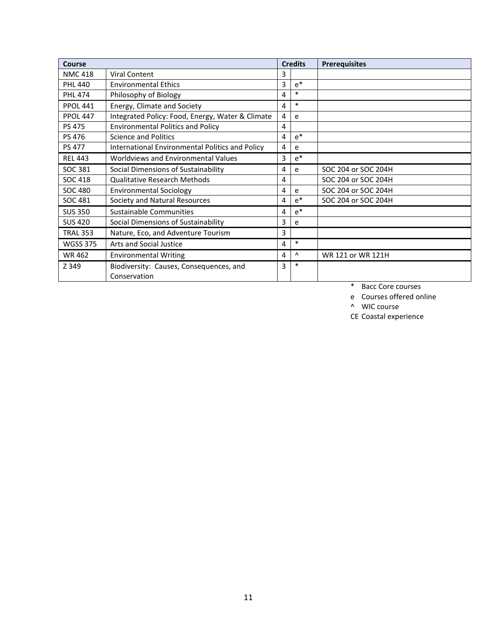| Course          |                                                         |   | <b>Credits</b> | <b>Prerequisites</b> |
|-----------------|---------------------------------------------------------|---|----------------|----------------------|
| <b>NMC 418</b>  | <b>Viral Content</b>                                    | 3 |                |                      |
| <b>PHL 440</b>  | <b>Environmental Ethics</b>                             | 3 | $e^*$          |                      |
| <b>PHL 474</b>  | Philosophy of Biology                                   | 4 | $\ast$         |                      |
| <b>PPOL 441</b> | Energy, Climate and Society                             | 4 | $\ast$         |                      |
| <b>PPOL 447</b> | Integrated Policy: Food, Energy, Water & Climate        | 4 | e              |                      |
| <b>PS 475</b>   | <b>Environmental Politics and Policy</b>                | 4 |                |                      |
| <b>PS 476</b>   | <b>Science and Politics</b>                             | 4 | $e^*$          |                      |
| <b>PS 477</b>   | International Environmental Politics and Policy         | 4 | e              |                      |
| <b>REL 443</b>  | Worldviews and Environmental Values                     | 3 | $e^*$          |                      |
| SOC 381         | Social Dimensions of Sustainability                     | 4 | e              | SOC 204 or SOC 204H  |
| <b>SOC 418</b>  | Qualitative Research Methods                            | 4 |                | SOC 204 or SOC 204H  |
| <b>SOC 480</b>  | <b>Environmental Sociology</b>                          | 4 | e              | SOC 204 or SOC 204H  |
| SOC 481         | Society and Natural Resources                           | 4 | $e^*$          | SOC 204 or SOC 204H  |
| <b>SUS 350</b>  | Sustainable Communities                                 | 4 | $e^*$          |                      |
| <b>SUS 420</b>  | Social Dimensions of Sustainability                     | 3 | e              |                      |
| <b>TRAL 353</b> | Nature, Eco, and Adventure Tourism                      | 3 |                |                      |
| <b>WGSS 375</b> | Arts and Social Justice                                 | 4 | $\ast$         |                      |
| <b>WR462</b>    | <b>Environmental Writing</b>                            | 4 | Λ              | WR 121 or WR 121H    |
| Z 349           | Biodiversity: Causes, Consequences, and<br>Conservation | 3 | $\ast$         |                      |

\* Bacc Core courses

e Courses offered online

^ WIC course

CE Coastal experience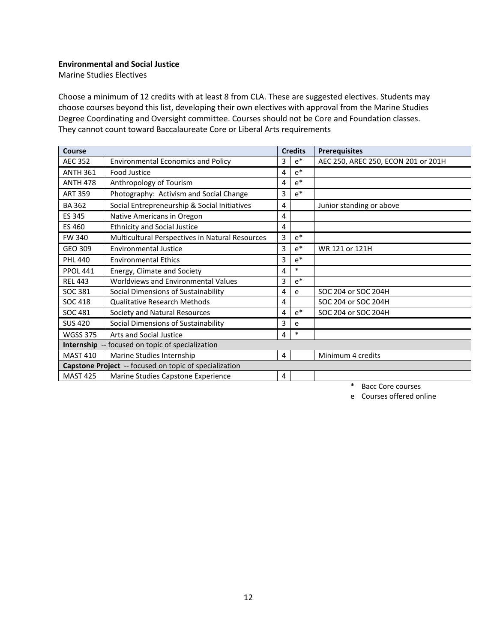#### **Environmental and Social Justice**

Marine Studies Electives

Choose a minimum of 12 credits with at least 8 from CLA. These are suggested electives. Students may choose courses beyond this list, developing their own electives with approval from the Marine Studies Degree Coordinating and Oversight committee. Courses should not be Core and Foundation classes. They cannot count toward Baccalaureate Core or Liberal Arts requirements

| Course          |                                                        |   | <b>Credits</b> | <b>Prerequisites</b>                |
|-----------------|--------------------------------------------------------|---|----------------|-------------------------------------|
| <b>AEC 352</b>  | <b>Environmental Economics and Policy</b>              | 3 | $e^*$          | AEC 250, AREC 250, ECON 201 or 201H |
| <b>ANTH 361</b> | <b>Food Justice</b>                                    | 4 | $e^*$          |                                     |
| <b>ANTH 478</b> | Anthropology of Tourism                                | 4 | $e^*$          |                                     |
| <b>ART 359</b>  | Photography: Activism and Social Change                | 3 | $e^*$          |                                     |
| <b>BA 362</b>   | Social Entrepreneurship & Social Initiatives           | 4 |                | Junior standing or above            |
| ES 345          | Native Americans in Oregon                             | 4 |                |                                     |
| ES 460          | <b>Ethnicity and Social Justice</b>                    | 4 |                |                                     |
| <b>FW 340</b>   | Multicultural Perspectives in Natural Resources        | 3 | $e^*$          |                                     |
| GEO 309         | <b>Environmental Justice</b>                           | 3 | $e^*$          | WR 121 or 121H                      |
| <b>PHL 440</b>  | <b>Environmental Ethics</b>                            | 3 | $e^*$          |                                     |
| <b>PPOL 441</b> | Energy, Climate and Society                            | 4 | $\ast$         |                                     |
| <b>REL 443</b>  | Worldviews and Environmental Values                    | 3 | $e^*$          |                                     |
| SOC 381         | Social Dimensions of Sustainability                    | 4 | e              | SOC 204 or SOC 204H                 |
| <b>SOC 418</b>  | <b>Qualitative Research Methods</b>                    | 4 |                | SOC 204 or SOC 204H                 |
| SOC 481         | Society and Natural Resources                          | 4 | $e^*$          | SOC 204 or SOC 204H                 |
| <b>SUS 420</b>  | Social Dimensions of Sustainability                    | 3 | e              |                                     |
| <b>WGSS 375</b> | Arts and Social Justice                                | 4 | $\ast$         |                                     |
|                 | Internship -- focused on topic of specialization       |   |                |                                     |
| <b>MAST 410</b> | Marine Studies Internship                              | 4 |                | Minimum 4 credits                   |
|                 | Capstone Project -- focused on topic of specialization |   |                |                                     |
| <b>MAST 425</b> | Marine Studies Capstone Experience                     | 4 |                |                                     |

\* Bacc Core courses

e Courses offered online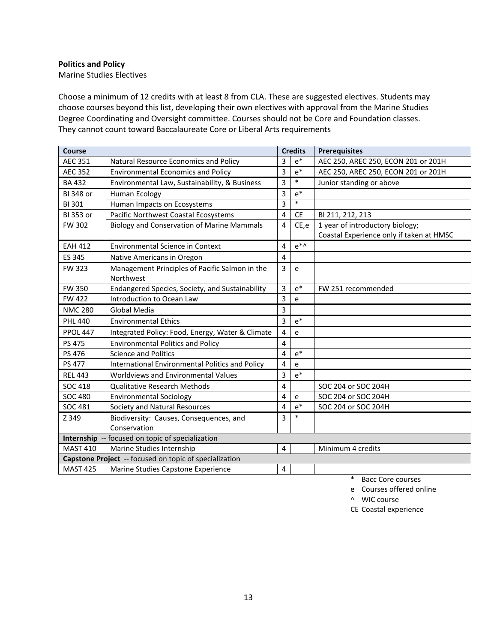### **Politics and Policy**

Marine Studies Electives

Choose a minimum of 12 credits with at least 8 from CLA. These are suggested electives. Students may choose courses beyond this list, developing their own electives with approval from the Marine Studies Degree Coordinating and Oversight committee. Courses should not be Core and Foundation classes. They cannot count toward Baccalaureate Core or Liberal Arts requirements

| <b>Course</b>   |                                                        |                         | <b>Credits</b>                             | <b>Prerequisites</b>                     |
|-----------------|--------------------------------------------------------|-------------------------|--------------------------------------------|------------------------------------------|
| <b>AEC 351</b>  | Natural Resource Economics and Policy                  | 3                       | $e^*$                                      | AEC 250, AREC 250, ECON 201 or 201H      |
| <b>AEC 352</b>  | <b>Environmental Economics and Policy</b>              | 3                       | $e^*$                                      | AEC 250, AREC 250, ECON 201 or 201H      |
| <b>BA432</b>    | Environmental Law, Sustainability, & Business          | 3                       | $\ast$                                     | Junior standing or above                 |
| BI 348 or       | Human Ecology                                          | 3                       | $e^*$                                      |                                          |
| <b>BI301</b>    | Human Impacts on Ecosystems                            | 3                       | $\ast$                                     |                                          |
| BI 353 or       | Pacific Northwest Coastal Ecosystems                   | $\overline{4}$          | <b>CE</b>                                  | BI 211, 212, 213                         |
| <b>FW 302</b>   | <b>Biology and Conservation of Marine Mammals</b>      | $\overline{4}$          | CE,e                                       | 1 year of introductory biology;          |
|                 |                                                        |                         |                                            | Coastal Experience only if taken at HMSC |
| <b>EAH 412</b>  | <b>Environmental Science in Context</b>                | 4                       | $e^{*\Lambda}$                             |                                          |
| ES 345          | Native Americans in Oregon                             | $\overline{\mathbf{4}}$ |                                            |                                          |
| <b>FW 323</b>   | Management Principles of Pacific Salmon in the         | $\overline{3}$          | e                                          |                                          |
|                 | Northwest                                              |                         |                                            |                                          |
| <b>FW 350</b>   | Endangered Species, Society, and Sustainability        | 3                       | $e^*$                                      | FW 251 recommended                       |
| <b>FW 422</b>   | Introduction to Ocean Law                              | 3                       | e                                          |                                          |
| <b>NMC 280</b>  | Global Media                                           | 3                       |                                            |                                          |
| <b>PHL 440</b>  | <b>Environmental Ethics</b>                            | 3                       | $e^*$                                      |                                          |
| <b>PPOL 447</b> | Integrated Policy: Food, Energy, Water & Climate       | $\overline{4}$          | $\mathsf{e}% _{0}\left( \mathsf{e}\right)$ |                                          |
| PS 475          | <b>Environmental Politics and Policy</b>               | $\overline{4}$          |                                            |                                          |
| PS 476          | <b>Science and Politics</b>                            | 4                       | $e^*$                                      |                                          |
| PS 477          | International Environmental Politics and Policy        | 4                       | e                                          |                                          |
| <b>REL 443</b>  | Worldviews and Environmental Values                    | 3                       | $e^*$                                      |                                          |
| <b>SOC 418</b>  | <b>Qualitative Research Methods</b>                    | 4                       |                                            | SOC 204 or SOC 204H                      |
| <b>SOC 480</b>  | <b>Environmental Sociology</b>                         | 4                       | e                                          | SOC 204 or SOC 204H                      |
| <b>SOC 481</b>  | Society and Natural Resources                          | 4                       | $e^*$                                      | SOC 204 or SOC 204H                      |
| Z 349           | Biodiversity: Causes, Consequences, and                | 3                       | $\ast$                                     |                                          |
|                 | Conservation                                           |                         |                                            |                                          |
|                 | Internship -- focused on topic of specialization       |                         |                                            |                                          |
| <b>MAST 410</b> | Marine Studies Internship                              | 4                       |                                            | Minimum 4 credits                        |
|                 | Capstone Project -- focused on topic of specialization |                         |                                            |                                          |
| <b>MAST 425</b> | Marine Studies Capstone Experience                     | 4                       |                                            |                                          |

\* Bacc Core courses

e Courses offered online

^ WIC course

CE Coastal experience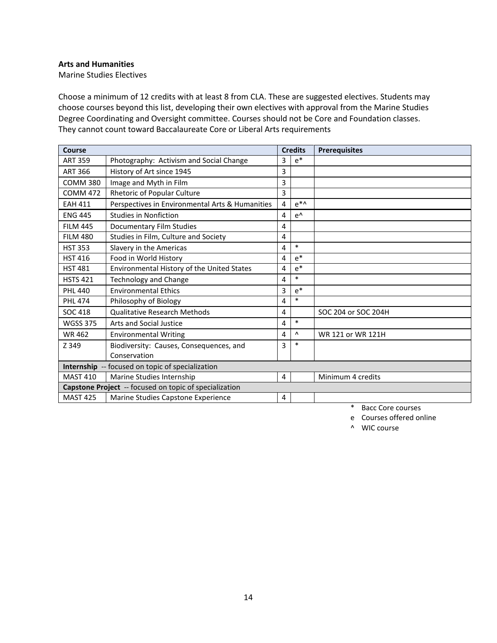### **Arts and Humanities**

Marine Studies Electives

Choose a minimum of 12 credits with at least 8 from CLA. These are suggested electives. Students may choose courses beyond this list, developing their own electives with approval from the Marine Studies Degree Coordinating and Oversight committee. Courses should not be Core and Foundation classes. They cannot count toward Baccalaureate Core or Liberal Arts requirements

| <b>Course</b>                                |                                                        |   | <b>Credits</b> | <b>Prerequisites</b> |
|----------------------------------------------|--------------------------------------------------------|---|----------------|----------------------|
| <b>ART 359</b>                               | Photography: Activism and Social Change                | 3 | $e^*$          |                      |
| <b>ART 366</b>                               | History of Art since 1945                              | 3 |                |                      |
| <b>COMM 380</b>                              | Image and Myth in Film                                 | 3 |                |                      |
| <b>COMM 472</b>                              | Rhetoric of Popular Culture                            | 3 |                |                      |
| <b>EAH 411</b>                               | Perspectives in Environmental Arts & Humanities        | 4 | $e^{*\Lambda}$ |                      |
| <b>ENG 445</b>                               | <b>Studies in Nonfiction</b>                           | 4 | $e^{\Lambda}$  |                      |
| <b>FILM 445</b>                              | Documentary Film Studies                               | 4 |                |                      |
| <b>FILM 480</b>                              | Studies in Film, Culture and Society                   | 4 |                |                      |
| <b>HST 353</b>                               | Slavery in the Americas                                | 4 | $\ast$         |                      |
| <b>HST 416</b>                               | Food in World History                                  | 4 | $e^*$          |                      |
| <b>HST 481</b>                               | Environmental History of the United States             | 4 | $e^*$          |                      |
| <b>HSTS 421</b>                              | <b>Technology and Change</b>                           | 4 | $\ast$         |                      |
| <b>PHL 440</b>                               | <b>Environmental Ethics</b>                            | 3 | $e^*$          |                      |
| <b>PHL 474</b>                               | Philosophy of Biology                                  | 4 | $\ast$         |                      |
| <b>SOC 418</b>                               | <b>Qualitative Research Methods</b>                    | 4 |                | SOC 204 or SOC 204H  |
| <b>WGSS 375</b>                              | Arts and Social Justice                                | 4 | $\ast$         |                      |
| <b>WR462</b>                                 | <b>Environmental Writing</b>                           | 4 | Λ              | WR 121 or WR 121H    |
| Z 349                                        | Biodiversity: Causes, Consequences, and                | 3 | $\ast$         |                      |
|                                              | Conservation                                           |   |                |                      |
|                                              | Internship -- focused on topic of specialization       |   |                |                      |
| <b>MAST 410</b><br>Marine Studies Internship |                                                        |   |                | Minimum 4 credits    |
|                                              | Capstone Project -- focused on topic of specialization |   |                |                      |
| <b>MAST 425</b>                              | Marine Studies Capstone Experience                     | 4 |                |                      |

\* Bacc Core courses

e Courses offered online

^ WIC course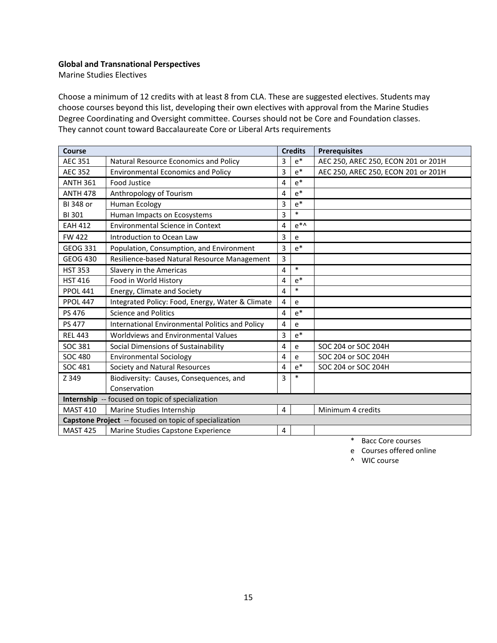#### **Global and Transnational Perspectives**

Marine Studies Electives

Choose a minimum of 12 credits with at least 8 from CLA. These are suggested electives. Students may choose courses beyond this list, developing their own electives with approval from the Marine Studies Degree Coordinating and Oversight committee. Courses should not be Core and Foundation classes. They cannot count toward Baccalaureate Core or Liberal Arts requirements

| <b>Course</b>    |                                                        |   | <b>Credits</b> | <b>Prerequisites</b>                |
|------------------|--------------------------------------------------------|---|----------------|-------------------------------------|
| <b>AEC 351</b>   | Natural Resource Economics and Policy                  | 3 | $e^*$          | AEC 250, AREC 250, ECON 201 or 201H |
| <b>AEC 352</b>   | <b>Environmental Economics and Policy</b>              | 3 | $e^*$          | AEC 250, AREC 250, ECON 201 or 201H |
| <b>ANTH 361</b>  | <b>Food Justice</b>                                    | 4 | $e^*$          |                                     |
| <b>ANTH 478</b>  | Anthropology of Tourism                                | 4 | $e^*$          |                                     |
| <b>BI 348 or</b> | Human Ecology                                          | 3 | $e^*$          |                                     |
| <b>BI301</b>     | Human Impacts on Ecosystems                            | 3 | $\ast$         |                                     |
| <b>EAH 412</b>   | <b>Environmental Science in Context</b>                | 4 | $e^{*\Lambda}$ |                                     |
| <b>FW 422</b>    | Introduction to Ocean Law                              | 3 | e              |                                     |
| GEOG 331         | Population, Consumption, and Environment               | 3 | $e^*$          |                                     |
| <b>GEOG 430</b>  | Resilience-based Natural Resource Management           | 3 |                |                                     |
| <b>HST 353</b>   | Slavery in the Americas                                | 4 | $\ast$         |                                     |
| <b>HST 416</b>   | Food in World History                                  | 4 | $e^*$          |                                     |
| <b>PPOL 441</b>  | Energy, Climate and Society                            | 4 | $\ast$         |                                     |
| <b>PPOL 447</b>  | Integrated Policy: Food, Energy, Water & Climate       | 4 | e              |                                     |
| PS 476           | <b>Science and Politics</b>                            | 4 | $e^*$          |                                     |
| <b>PS 477</b>    | International Environmental Politics and Policy        | 4 | e              |                                     |
| <b>REL 443</b>   | Worldviews and Environmental Values                    | 3 | $e^*$          |                                     |
| SOC 381          | Social Dimensions of Sustainability                    | 4 | e              | SOC 204 or SOC 204H                 |
| <b>SOC 480</b>   | <b>Environmental Sociology</b>                         | 4 | e              | SOC 204 or SOC 204H                 |
| SOC 481          | Society and Natural Resources                          | 4 | $e^*$          | SOC 204 or SOC 204H                 |
| Z 349            | Biodiversity: Causes, Consequences, and                | 3 | $\ast$         |                                     |
|                  | Conservation                                           |   |                |                                     |
|                  | Internship -- focused on topic of specialization       |   |                |                                     |
| <b>MAST 410</b>  | Marine Studies Internship                              | 4 |                | Minimum 4 credits                   |
|                  | Capstone Project -- focused on topic of specialization |   |                |                                     |
| <b>MAST 425</b>  | Marine Studies Capstone Experience                     | 4 |                |                                     |

\* Bacc Core courses

e Courses offered online

^ WIC course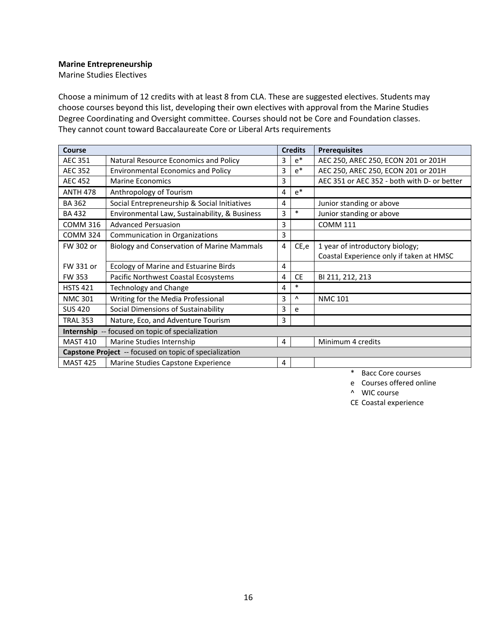#### **Marine Entrepreneurship**

Marine Studies Electives

Choose a minimum of 12 credits with at least 8 from CLA. These are suggested electives. Students may choose courses beyond this list, developing their own electives with approval from the Marine Studies Degree Coordinating and Oversight committee. Courses should not be Core and Foundation classes. They cannot count toward Baccalaureate Core or Liberal Arts requirements

| Course                                                  |                                                   |   | <b>Credits</b> | <b>Prerequisites</b>                        |
|---------------------------------------------------------|---------------------------------------------------|---|----------------|---------------------------------------------|
| <b>AEC 351</b>                                          | Natural Resource Economics and Policy             | 3 | $e^*$          | AEC 250, AREC 250, ECON 201 or 201H         |
| <b>AEC 352</b>                                          | <b>Environmental Economics and Policy</b>         | 3 | $e^*$          | AEC 250, AREC 250, ECON 201 or 201H         |
| <b>AEC 452</b>                                          | <b>Marine Economics</b>                           | 3 |                | AEC 351 or AEC 352 - both with D- or better |
| <b>ANTH 478</b>                                         | Anthropology of Tourism                           | 4 | $e^*$          |                                             |
| <b>BA 362</b>                                           | Social Entrepreneurship & Social Initiatives      | 4 |                | Junior standing or above                    |
| <b>BA432</b>                                            | Environmental Law, Sustainability, & Business     | 3 | $\ast$         | Junior standing or above                    |
| <b>COMM 316</b>                                         | <b>Advanced Persuasion</b>                        | 3 |                | <b>COMM 111</b>                             |
| <b>COMM 324</b>                                         | Communication in Organizations                    | 3 |                |                                             |
| FW 302 or                                               | <b>Biology and Conservation of Marine Mammals</b> | 4 | CE,e           | 1 year of introductory biology;             |
|                                                         |                                                   |   |                | Coastal Experience only if taken at HMSC    |
| FW 331 or                                               | Ecology of Marine and Estuarine Birds             | 4 |                |                                             |
| <b>FW 353</b>                                           | Pacific Northwest Coastal Ecosystems              | 4 | <b>CE</b>      | BI 211, 212, 213                            |
| <b>HSTS 421</b>                                         | <b>Technology and Change</b>                      | 4 | $\ast$         |                                             |
| <b>NMC 301</b>                                          | Writing for the Media Professional                | 3 | Λ              | <b>NMC 101</b>                              |
| <b>SUS 420</b>                                          | Social Dimensions of Sustainability               | 3 | e              |                                             |
| <b>TRAL 353</b>                                         | Nature, Eco, and Adventure Tourism                | 3 |                |                                             |
| <b>Internship</b> -- focused on topic of specialization |                                                   |   |                |                                             |
| <b>MAST 410</b>                                         | Marine Studies Internship                         | 4 |                | Minimum 4 credits                           |
| Capstone Project -- focused on topic of specialization  |                                                   |   |                |                                             |
| <b>MAST 425</b>                                         | Marine Studies Capstone Experience                | 4 |                |                                             |

\* Bacc Core courses

e Courses offered online

^ WIC course

CE Coastal experience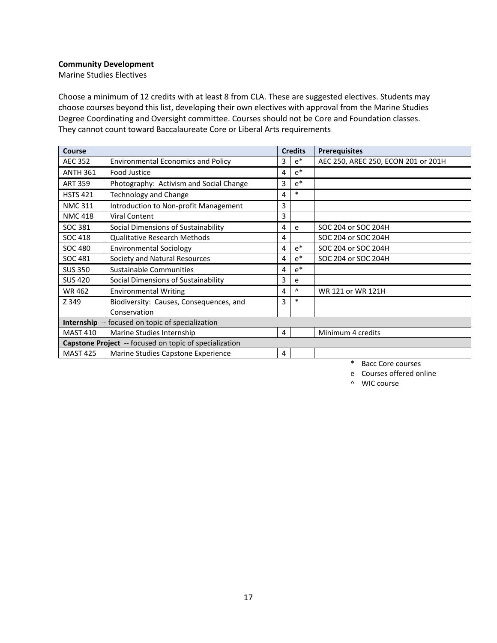#### **Community Development**

Marine Studies Electives

Choose a minimum of 12 credits with at least 8 from CLA. These are suggested electives. Students may choose courses beyond this list, developing their own electives with approval from the Marine Studies Degree Coordinating and Oversight committee. Courses should not be Core and Foundation classes. They cannot count toward Baccalaureate Core or Liberal Arts requirements

| Course                                           |                                                               | <b>Credits</b> |        | <b>Prerequisites</b>                |
|--------------------------------------------------|---------------------------------------------------------------|----------------|--------|-------------------------------------|
| <b>AEC 352</b>                                   | <b>Environmental Economics and Policy</b>                     | 3              | $e^*$  | AEC 250, AREC 250, ECON 201 or 201H |
| <b>ANTH 361</b>                                  | Food Justice                                                  | 4              | $e^*$  |                                     |
| <b>ART 359</b>                                   | Photography: Activism and Social Change                       | 3              | $e^*$  |                                     |
| <b>HSTS 421</b>                                  | Technology and Change                                         | 4              | $\ast$ |                                     |
| <b>NMC 311</b>                                   | Introduction to Non-profit Management                         | 3              |        |                                     |
| <b>NMC 418</b>                                   | <b>Viral Content</b>                                          | 3              |        |                                     |
| SOC 381                                          | Social Dimensions of Sustainability                           | 4              | e      | SOC 204 or SOC 204H                 |
| <b>SOC 418</b>                                   | <b>Qualitative Research Methods</b>                           | 4              |        | SOC 204 or SOC 204H                 |
| <b>SOC 480</b>                                   | <b>Environmental Sociology</b>                                | 4              | $e^*$  | SOC 204 or SOC 204H                 |
| SOC 481                                          | Society and Natural Resources                                 | 4              | $e^*$  | SOC 204 or SOC 204H                 |
| <b>SUS 350</b>                                   | Sustainable Communities                                       | 4              | $e^*$  |                                     |
| <b>SUS 420</b>                                   | Social Dimensions of Sustainability                           | 3              | e      |                                     |
| <b>WR462</b>                                     | <b>Environmental Writing</b>                                  | 4              | Λ      | WR 121 or WR 121H                   |
| Z 349                                            | Biodiversity: Causes, Consequences, and                       | 3              | $\ast$ |                                     |
|                                                  | Conservation                                                  |                |        |                                     |
| Internship -- focused on topic of specialization |                                                               |                |        |                                     |
| <b>MAST 410</b>                                  | Marine Studies Internship                                     | 4              |        | Minimum 4 credits                   |
|                                                  | <b>Capstone Project</b> -- focused on topic of specialization |                |        |                                     |
| <b>MAST 425</b>                                  | Marine Studies Capstone Experience                            | 4              |        |                                     |

\* Bacc Core courses

e Courses offered online

^ WIC course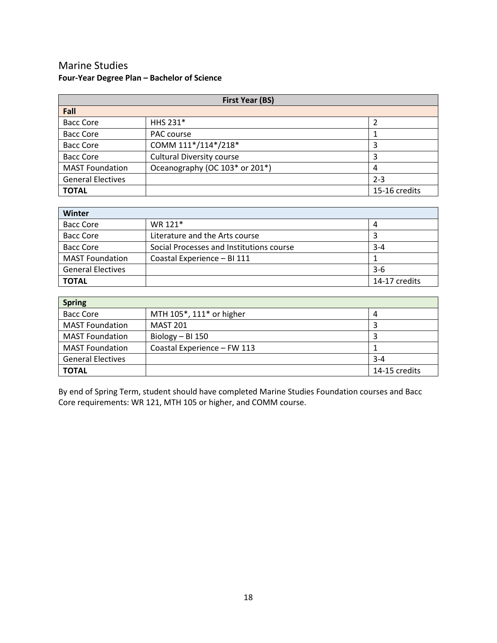# Marine Studies **Four-Year Degree Plan – Bachelor of Science**

| <b>First Year (BS)</b>   |                                  |               |  |  |
|--------------------------|----------------------------------|---------------|--|--|
| Fall                     |                                  |               |  |  |
| <b>Bacc Core</b>         | HHS 231*                         |               |  |  |
| <b>Bacc Core</b>         | PAC course                       |               |  |  |
| <b>Bacc Core</b>         | COMM 111*/114*/218*              | 3             |  |  |
| <b>Bacc Core</b>         | <b>Cultural Diversity course</b> | 3             |  |  |
| <b>MAST Foundation</b>   | Oceanography (OC 103* or 201*)   | 4             |  |  |
| <b>General Electives</b> |                                  | $2 - 3$       |  |  |
| <b>TOTAL</b>             |                                  | 15-16 credits |  |  |

| Winter                   |                                          |               |  |  |
|--------------------------|------------------------------------------|---------------|--|--|
| <b>Bacc Core</b>         | WR 121*                                  | 4             |  |  |
| <b>Bacc Core</b>         | Literature and the Arts course           |               |  |  |
| <b>Bacc Core</b>         | Social Processes and Institutions course | $3 - 4$       |  |  |
| <b>MAST Foundation</b>   | Coastal Experience - BI 111              |               |  |  |
| <b>General Electives</b> |                                          | $3-6$         |  |  |
| <b>TOTAL</b>             |                                          | 14-17 credits |  |  |

| <b>Spring</b>            |                             |               |  |  |
|--------------------------|-----------------------------|---------------|--|--|
| <b>Bacc Core</b>         | MTH 105*, 111* or higher    | 4             |  |  |
| <b>MAST Foundation</b>   | <b>MAST 201</b>             |               |  |  |
| <b>MAST Foundation</b>   | Biology $-$ BI 150          |               |  |  |
| <b>MAST Foundation</b>   | Coastal Experience - FW 113 |               |  |  |
| <b>General Electives</b> |                             | $3 - 4$       |  |  |
| <b>TOTAL</b>             |                             | 14-15 credits |  |  |

By end of Spring Term, student should have completed Marine Studies Foundation courses and Bacc Core requirements: WR 121, MTH 105 or higher, and COMM course.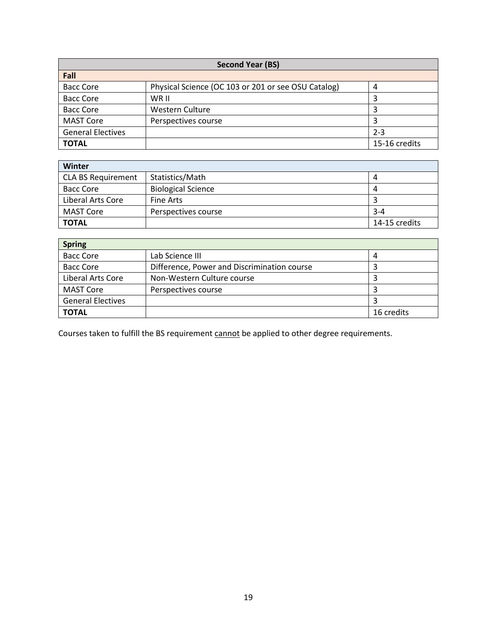| <b>Second Year (BS)</b>  |                                                     |               |  |  |
|--------------------------|-----------------------------------------------------|---------------|--|--|
| Fall                     |                                                     |               |  |  |
| <b>Bacc Core</b>         | Physical Science (OC 103 or 201 or see OSU Catalog) | 4             |  |  |
| <b>Bacc Core</b>         | WR II                                               | 3             |  |  |
| <b>Bacc Core</b>         | Western Culture                                     |               |  |  |
| <b>MAST Core</b>         | Perspectives course                                 |               |  |  |
| <b>General Electives</b> |                                                     | $2 - 3$       |  |  |
| <b>TOTAL</b>             |                                                     | 15-16 credits |  |  |

| Winter                    |                           |               |  |  |
|---------------------------|---------------------------|---------------|--|--|
| <b>CLA BS Requirement</b> | Statistics/Math           |               |  |  |
| Bacc Core                 | <b>Biological Science</b> | 4             |  |  |
| Liberal Arts Core         | Fine Arts                 |               |  |  |
| MAST Core                 | Perspectives course       | $3 - 4$       |  |  |
| <b>TOTAL</b>              |                           | 14-15 credits |  |  |

| <b>Spring</b>            |                                             |            |  |  |
|--------------------------|---------------------------------------------|------------|--|--|
| <b>Bacc Core</b>         | Lab Science III                             | 4          |  |  |
| <b>Bacc Core</b>         | Difference, Power and Discrimination course |            |  |  |
| Liberal Arts Core        | Non-Western Culture course                  | 3          |  |  |
| <b>MAST Core</b>         | Perspectives course                         |            |  |  |
| <b>General Electives</b> |                                             |            |  |  |
| <b>TOTAL</b>             |                                             | 16 credits |  |  |

Courses taken to fulfill the BS requirement **cannot** be applied to other degree requirements.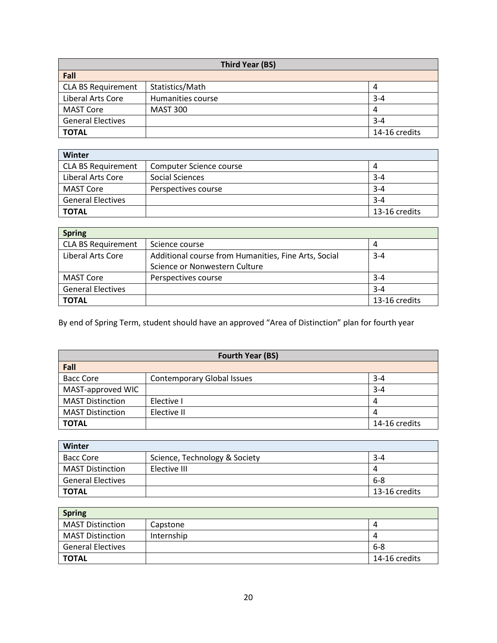| <b>Third Year (BS)</b>    |                   |               |  |  |
|---------------------------|-------------------|---------------|--|--|
| Fall                      |                   |               |  |  |
| <b>CLA BS Requirement</b> | Statistics/Math   | 4             |  |  |
| Liberal Arts Core         | Humanities course | $3 - 4$       |  |  |
| <b>MAST Core</b>          | <b>MAST 300</b>   | 4             |  |  |
| <b>General Electives</b>  |                   | $3 - 4$       |  |  |
| <b>TOTAL</b>              |                   | 14-16 credits |  |  |

| Winter                    |                         |               |  |  |
|---------------------------|-------------------------|---------------|--|--|
| <b>CLA BS Requirement</b> | Computer Science course | 4             |  |  |
| Liberal Arts Core         | Social Sciences         | $3 - 4$       |  |  |
| MAST Core                 | Perspectives course     | $3 - 4$       |  |  |
| <b>General Electives</b>  |                         | $3 - 4$       |  |  |
| <b>TOTAL</b>              |                         | 13-16 credits |  |  |

| <b>Spring</b>             |                                                      |               |  |  |
|---------------------------|------------------------------------------------------|---------------|--|--|
| <b>CLA BS Requirement</b> | Science course                                       | 4             |  |  |
| Liberal Arts Core         | Additional course from Humanities, Fine Arts, Social | $3 - 4$       |  |  |
|                           | Science or Nonwestern Culture                        |               |  |  |
| <b>MAST Core</b>          | Perspectives course                                  | $3 - 4$       |  |  |
| <b>General Electives</b>  |                                                      | $3 - 4$       |  |  |
| <b>TOTAL</b>              |                                                      | 13-16 credits |  |  |

By end of Spring Term, student should have an approved "Area of Distinction" plan for fourth year

| <b>Fourth Year (BS)</b> |                                   |               |  |  |
|-------------------------|-----------------------------------|---------------|--|--|
| Fall                    |                                   |               |  |  |
| <b>Bacc Core</b>        | <b>Contemporary Global Issues</b> | $3 - 4$       |  |  |
| MAST-approved WIC       |                                   | $3 - 4$       |  |  |
| <b>MAST Distinction</b> | Elective I                        | 4             |  |  |
| <b>MAST Distinction</b> | Elective II                       | 4             |  |  |
| <b>TOTAL</b>            |                                   | 14-16 credits |  |  |

| Winter                   |                               |               |
|--------------------------|-------------------------------|---------------|
| <b>Bacc Core</b>         | Science, Technology & Society | $3 - 4$       |
| <b>MAST Distinction</b>  | Elective III                  | 4             |
| <b>General Electives</b> |                               | 6-8           |
| <b>TOTAL</b>             |                               | 13-16 credits |

| <b>Spring</b>            |            |               |
|--------------------------|------------|---------------|
| <b>MAST Distinction</b>  | Capstone   | 4             |
| <b>MAST Distinction</b>  | Internship | 4             |
| <b>General Electives</b> |            | -6-8          |
| <b>TOTAL</b>             |            | 14-16 credits |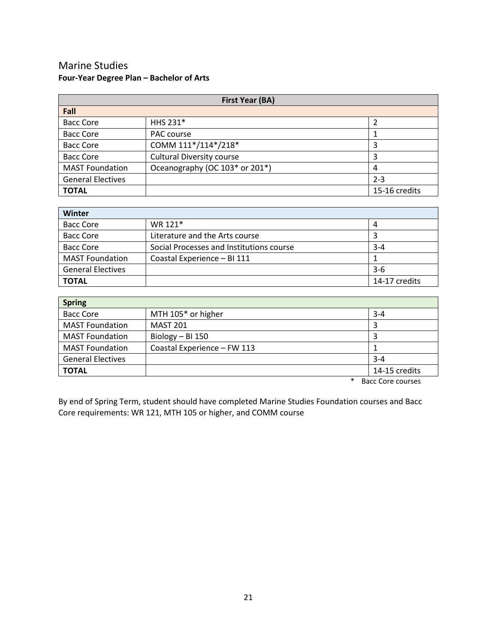# Marine Studies **Four-Year Degree Plan – Bachelor of Arts**

| <b>First Year (BA)</b>   |                                  |               |
|--------------------------|----------------------------------|---------------|
| Fall                     |                                  |               |
| <b>Bacc Core</b>         | HHS 231*                         |               |
| <b>Bacc Core</b>         | PAC course                       |               |
| <b>Bacc Core</b>         | COMM 111*/114*/218*              | 3             |
| <b>Bacc Core</b>         | <b>Cultural Diversity course</b> | 3             |
| <b>MAST Foundation</b>   | Oceanography (OC 103* or 201*)   | 4             |
| <b>General Electives</b> |                                  | $2 - 3$       |
| <b>TOTAL</b>             |                                  | 15-16 credits |

| <b>Winter</b>            |                                          |               |
|--------------------------|------------------------------------------|---------------|
| <b>Bacc Core</b>         | WR 121*                                  | 4             |
| <b>Bacc Core</b>         | Literature and the Arts course           |               |
| <b>Bacc Core</b>         | Social Processes and Institutions course | $3 - 4$       |
| <b>MAST Foundation</b>   | Coastal Experience - BI 111              |               |
| <b>General Electives</b> |                                          | $3-6$         |
| <b>TOTAL</b>             |                                          | 14-17 credits |

| <b>Spring</b>               |               |  |
|-----------------------------|---------------|--|
| MTH 105* or higher          | $3 - 4$       |  |
| <b>MAST 201</b>             |               |  |
| Biology - BI 150            |               |  |
| Coastal Experience - FW 113 |               |  |
|                             | $3 - 4$       |  |
|                             | 14-15 credits |  |
|                             |               |  |

\* Bacc Core courses

By end of Spring Term, student should have completed Marine Studies Foundation courses and Bacc Core requirements: WR 121, MTH 105 or higher, and COMM course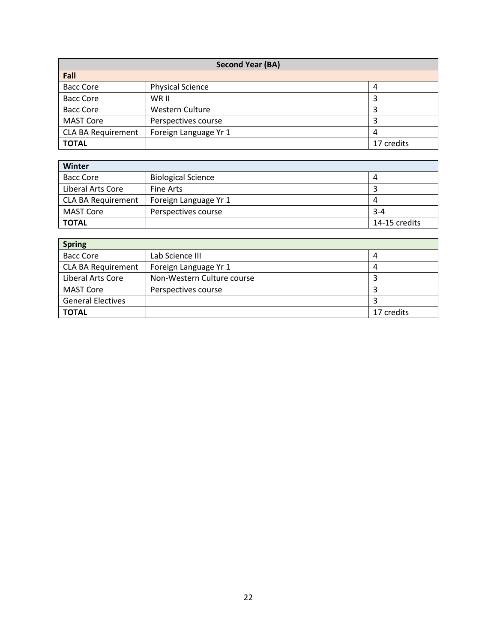| Second Year (BA)          |                         |            |
|---------------------------|-------------------------|------------|
| Fall                      |                         |            |
| <b>Bacc Core</b>          | <b>Physical Science</b> | 4          |
| <b>Bacc Core</b>          | WR II                   |            |
| <b>Bacc Core</b>          | Western Culture         |            |
| <b>MAST Core</b>          | Perspectives course     |            |
| <b>CLA BA Requirement</b> | Foreign Language Yr 1   | 4          |
| <b>TOTAL</b>              |                         | 17 credits |

| Winter                    |                           |               |
|---------------------------|---------------------------|---------------|
| <b>Bacc Core</b>          | <b>Biological Science</b> | 4             |
| Liberal Arts Core         | Fine Arts                 |               |
| <b>CLA BA Requirement</b> | Foreign Language Yr 1     | 4             |
| MAST Core                 | Perspectives course       | $3 - 4$       |
| <b>TOTAL</b>              |                           | 14-15 credits |

| <b>Spring</b>             |                            |            |
|---------------------------|----------------------------|------------|
| <b>Bacc Core</b>          | Lab Science III            | 4          |
| <b>CLA BA Requirement</b> | Foreign Language Yr 1      | 4          |
| Liberal Arts Core         | Non-Western Culture course | 3          |
| <b>MAST Core</b>          | Perspectives course        | 3          |
| <b>General Electives</b>  |                            |            |
| <b>TOTAL</b>              |                            | 17 credits |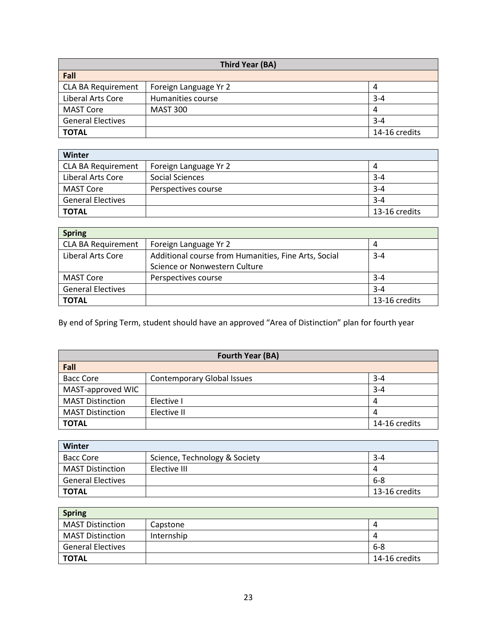| Third Year (BA)           |                       |               |
|---------------------------|-----------------------|---------------|
| Fall                      |                       |               |
| <b>CLA BA Requirement</b> | Foreign Language Yr 2 | 4             |
| Liberal Arts Core         | Humanities course     | $3 - 4$       |
| MAST Core                 | <b>MAST 300</b>       | 4             |
| <b>General Electives</b>  |                       | $3 - 4$       |
| <b>TOTAL</b>              |                       | 14-16 credits |

| Winter                    |                       |               |
|---------------------------|-----------------------|---------------|
| <b>CLA BA Requirement</b> | Foreign Language Yr 2 | 4             |
| Liberal Arts Core         | Social Sciences       | $3 - 4$       |
| MAST Core                 | Perspectives course   | $3 - 4$       |
| <b>General Electives</b>  |                       | $3 - 4$       |
| <b>TOTAL</b>              |                       | 13-16 credits |

| <b>Spring</b>             |                                                      |               |
|---------------------------|------------------------------------------------------|---------------|
| <b>CLA BA Requirement</b> | Foreign Language Yr 2                                | 4             |
| Liberal Arts Core         | Additional course from Humanities, Fine Arts, Social | $3 - 4$       |
|                           | Science or Nonwestern Culture                        |               |
| MAST Core                 | Perspectives course                                  | $3 - 4$       |
| <b>General Electives</b>  |                                                      | $3 - 4$       |
| <b>TOTAL</b>              |                                                      | 13-16 credits |

By end of Spring Term, student should have an approved "Area of Distinction" plan for fourth year

| <b>Fourth Year (BA)</b> |                                   |               |
|-------------------------|-----------------------------------|---------------|
| Fall                    |                                   |               |
| <b>Bacc Core</b>        | <b>Contemporary Global Issues</b> | $3 - 4$       |
| MAST-approved WIC       |                                   | $3 - 4$       |
| <b>MAST Distinction</b> | Elective I                        | 4             |
| <b>MAST Distinction</b> | Elective II                       | 4             |
| <b>TOTAL</b>            |                                   | 14-16 credits |

| Winter                   |                               |               |  |
|--------------------------|-------------------------------|---------------|--|
| <b>Bacc Core</b>         | Science, Technology & Society | $3 - 4$       |  |
| <b>MAST Distinction</b>  | Elective III                  | 4             |  |
| <b>General Electives</b> |                               | 6-8           |  |
| <b>TOTAL</b>             |                               | 13-16 credits |  |

| <b>Spring</b>            |            |               |  |
|--------------------------|------------|---------------|--|
| <b>MAST Distinction</b>  | Capstone   | 4             |  |
| <b>MAST Distinction</b>  | Internship | 4             |  |
| <b>General Electives</b> |            | -6-8          |  |
| <b>TOTAL</b>             |            | 14-16 credits |  |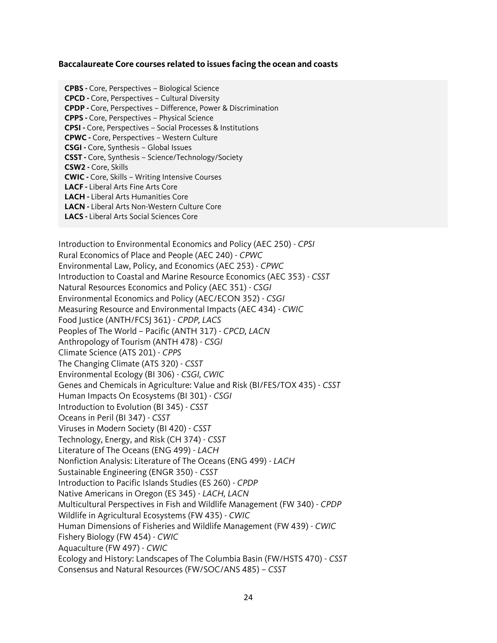#### **Baccalaureate Core courses related to issues facing the ocean and coasts**

**CPBS -** Core, Perspectives – Biological Science **CPCD -** Core, Perspectives – Cultural Diversity **CPDP -** Core, Perspectives – Difference, Power & Discrimination **CPPS -** Core, Perspectives – Physical Science **CPSI -** Core, Perspectives – Social Processes & Institutions **CPWC -** Core, Perspectives – Western Culture **CSGI -** Core, Synthesis – Global Issues **CSST -** Core, Synthesis – Science/Technology/Society **CSW2 -** Core, Skills **CWIC -** Core, Skills – Writing Intensive Courses **LACF -** Liberal Arts Fine Arts Core **LACH -** Liberal Arts Humanities Core **LACN -** Liberal Arts Non-Western Culture Core **LACS -** Liberal Arts Social Sciences Core

Introduction to Environmental Economics and Policy (AEC 250) - *CPSI* Rural Economics of Place and People (AEC 240) - *CPWC* Environmental Law, Policy, and Economics (AEC 253) - *CPWC* Introduction to Coastal and Marine Resource Economics (AEC 353) - *CSST* Natural Resources Economics and Policy (AEC 351) - *CSGI* Environmental Economics and Policy (AEC/ECON 352) - *CSGI* Measuring Resource and Environmental Impacts (AEC 434) - *CWIC* Food Justice (ANTH/FCSJ 361) - *CPDP, LACS* Peoples of The World – Pacific (ANTH 317) - *CPCD, LACN* Anthropology of Tourism (ANTH 478) - *CSGI* Climate Science (ATS 201) - *CPPS* The Changing Climate (ATS 320) - *CSST* Environmental Ecology (BI 306) - *CSGI, CWIC* Genes and Chemicals in Agriculture: Value and Risk (BI/FES/TOX 435) - *CSST* Human Impacts On Ecosystems (BI 301) - *CSGI* Introduction to Evolution (BI 345) - *CSST* Oceans in Peril (BI 347) - *CSST* Viruses in Modern Society (BI 420) - *CSST* Technology, Energy, and Risk (CH 374) - *CSST* Literature of The Oceans (ENG 499) - *LACH* Nonfiction Analysis: Literature of The Oceans (ENG 499) - *LACH* Sustainable Engineering (ENGR 350) - *CSST* Introduction to Pacific Islands Studies (ES 260) - *CPDP* Native Americans in Oregon (ES 345) - *LACH, LACN* Multicultural Perspectives in Fish and Wildlife Management (FW 340) - *CPDP* Wildlife in Agricultural Ecosystems (FW 435) - *CWIC* Human Dimensions of Fisheries and Wildlife Management (FW 439) - *CWIC* Fishery Biology (FW 454) - *CWIC* Aquaculture (FW 497) - *CWIC* Ecology and History: Landscapes of The Columbia Basin (FW/HSTS 470) - *CSST* Consensus and Natural Resources (FW/SOC/ANS 485) – *CSST*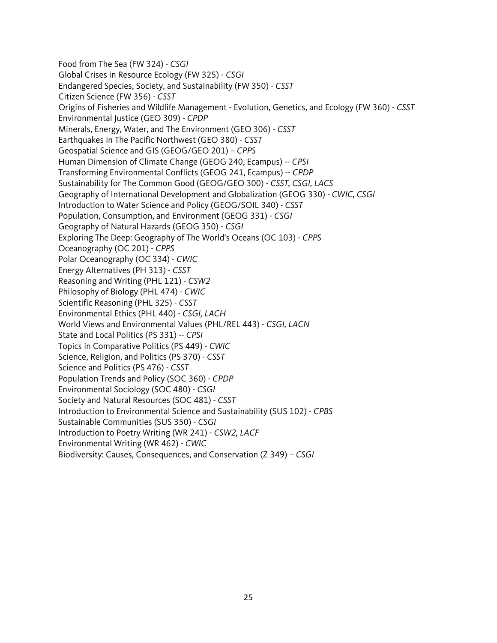Food from The Sea (FW 324) - *CSGI* Global Crises in Resource Ecology (FW 325) - *CSGI* Endangered Species, Society, and Sustainability (FW 350) - *CSST* Citizen Science (FW 356) - *CSST* Origins of Fisheries and Wildlife Management - Evolution, Genetics, and Ecology (FW 360) - *CSST* Environmental Justice (GEO 309) - *CPDP* Minerals, Energy, Water, and The Environment (GEO 306) - *CSST* Earthquakes in The Pacific Northwest (GEO 380) - *CSST* Geospatial Science and GIS (GEOG/GEO 201) – *CPPS* Human Dimension of Climate Change (GEOG 240, Ecampus) -- *CPSI* Transforming Environmental Conflicts (GEOG 241, Ecampus) -- *CPDP* Sustainability for The Common Good (GEOG/GEO 300) - *CSST, CSGI, LACS* Geography of International Development and Globalization (GEOG 330) - *CWIC, CSGI* Introduction to Water Science and Policy (GEOG/SOIL 340) - *CSST* Population, Consumption, and Environment (GEOG 331) - *CSGI* Geography of Natural Hazards (GEOG 350) - *CSGI* Exploring The Deep: Geography of The World's Oceans (OC 103) - *CPPS* Oceanography (OC 201) - *CPPS* Polar Oceanography (OC 334) - *CWIC* Energy Alternatives (PH 313) - *CSST* Reasoning and Writing (PHL 121) - *CSW2* Philosophy of Biology (PHL 474) - *CWIC* Scientific Reasoning (PHL 325) - *CSST* Environmental Ethics (PHL 440) - *CSGI, LACH* World Views and Environmental Values (PHL/REL 443) - *CSGI, LACN* State and Local Politics (PS 331) -- *CPSI* Topics in Comparative Politics (PS 449) - *CWIC* Science, Religion, and Politics (PS 370) - *CSST* Science and Politics (PS 476) - *CSST* Population Trends and Policy (SOC 360) - *CPDP* Environmental Sociology (SOC 480) - *CSGI* Society and Natural Resources (SOC 481) - *CSST* Introduction to Environmental Science and Sustainability (SUS 102) - *CPBS* Sustainable Communities (SUS 350) - *CSGI* Introduction to Poetry Writing (WR 241) - *CSW2, LACF* Environmental Writing (WR 462) - *CWIC* Biodiversity: Causes, Consequences, and Conservation (Z 349) – *CSGI*